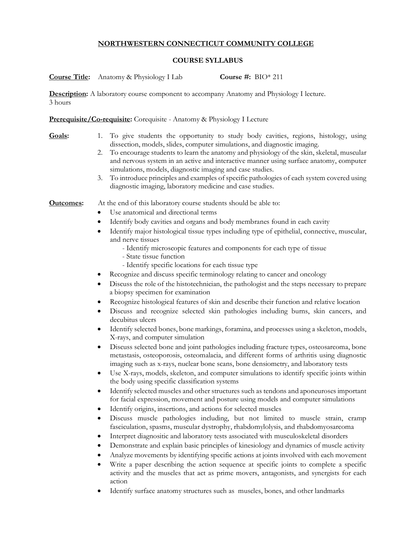## **NORTHWESTERN CONNECTICUT COMMUNITY COLLEGE**

## **COURSE SYLLABUS**

**Course Title:** Anatomy & Physiology I Lab **Course #:** BIO\* 211

**Description:** A laboratory course component to accompany Anatomy and Physiology I lecture. 3 hours

**Prerequisite/Co-requisite:** Corequisite - Anatomy & Physiology I Lecture

- **Goals:** 1. To give students the opportunity to study body cavities, regions, histology, using dissection, models, slides, computer simulations, and diagnostic imaging.
	- 2. To encourage students to learn the anatomy and physiology of the skin, skeletal, muscular and nervous system in an active and interactive manner using surface anatomy, computer simulations, models, diagnostic imaging and case studies.
	- 3. To introduce principles and examples of specific pathologies of each system covered using diagnostic imaging, laboratory medicine and case studies.

**Outcomes:** At the end of this laboratory course students should be able to:

- Use anatomical and directional terms
- Identify body cavities and organs and body membranes found in each cavity
- Identify major histological tissue types including type of epithelial, connective, muscular, and nerve tissues
	- Identify microscopic features and components for each type of tissue
	- State tissue function
	- Identify specific locations for each tissue type
- Recognize and discuss specific terminology relating to cancer and oncology
- Discuss the role of the histotechnician, the pathologist and the steps necessary to prepare a biopsy specimen for examination
- Recognize histological features of skin and describe their function and relative location
- Discuss and recognize selected skin pathologies including burns, skin cancers, and decubitus ulcers
- Identify selected bones, bone markings, foramina, and processes using a skeleton, models, X-rays, and computer simulation
- Discuss selected bone and joint pathologies including fracture types, osteosarcoma, bone metastasis, osteoporosis, osteomalacia, and different forms of arthritis using diagnostic imaging such as x-rays, nuclear bone scans, bone densiometry, and laboratory tests
- Use X-rays, models, skeleton, and computer simulations to identify specific joints within the body using specific classification systems
- Identify selected muscles and other structures such as tendons and aponeuroses important for facial expression, movement and posture using models and computer simulations
- Identify origins, insertions, and actions for selected muscles
- Discuss muscle pathologies including, but not limited to muscle strain, cramp fasciculation, spasms, muscular dystrophy, rhabdomylolysis, and rhabdomyosarcoma
- Interpret diagnositic and laboratory tests associated with musculoskeletal disorders
- Demonstrate and explain basic principles of kinesiology and dynamics of muscle activity
- Analyze movements by identifying specific actions at joints involved with each movement
- Write a paper describing the action sequence at specific joints to complete a specific activity and the muscles that act as prime movers, antagonists, and synergists for each action
- Identify surface anatomy structures such as muscles, bones, and other landmarks